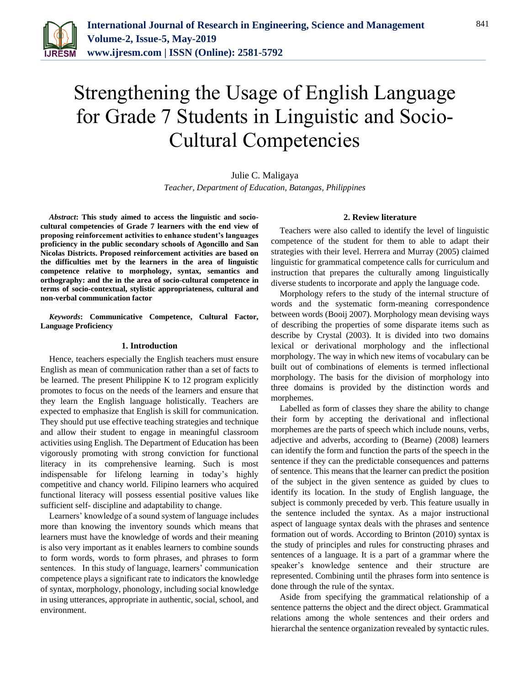

# Strengthening the Usage of English Language for Grade 7 Students in Linguistic and Socio-Cultural Competencies

Julie C. Maligaya *Teacher, Department of Education, Batangas, Philippines*

*Abstract***: This study aimed to access the linguistic and sociocultural competencies of Grade 7 learners with the end view of proposing reinforcement activities to enhance student's languages proficiency in the public secondary schools of Agoncillo and San Nicolas Districts. Proposed reinforcement activities are based on the difficulties met by the learners in the area of linguistic competence relative to morphology, syntax, semantics and orthography: and the in the area of socio-cultural competence in terms of socio-contextual, stylistic appropriateness, cultural and non-verbal communication factor**

*Keywords***: Communicative Competence, Cultural Factor, Language Proficiency**

#### **1. Introduction**

Hence, teachers especially the English teachers must ensure English as mean of communication rather than a set of facts to be learned. The present Philippine K to 12 program explicitly promotes to focus on the needs of the learners and ensure that they learn the English language holistically. Teachers are expected to emphasize that English is skill for communication. They should put use effective teaching strategies and technique and allow their student to engage in meaningful classroom activities using English. The Department of Education has been vigorously promoting with strong conviction for functional literacy in its comprehensive learning. Such is most indispensable for lifelong learning in today's highly competitive and chancy world. Filipino learners who acquired functional literacy will possess essential positive values like sufficient self- discipline and adaptability to change.

Learners' knowledge of a sound system of language includes more than knowing the inventory sounds which means that learners must have the knowledge of words and their meaning is also very important as it enables learners to combine sounds to form words, words to form phrases, and phrases to form sentences. In this study of language, learners' communication competence plays a significant rate to indicators the knowledge of syntax, morphology, phonology, including social knowledge in using utterances, appropriate in authentic, social, school, and environment.

## **2. Review literature**

Teachers were also called to identify the level of linguistic competence of the student for them to able to adapt their strategies with their level. Herrera and Murray (2005) claimed linguistic for grammatical competence calls for curriculum and instruction that prepares the culturally among linguistically diverse students to incorporate and apply the language code.

Morphology refers to the study of the internal structure of words and the systematic form-meaning correspondence between words (Booij 2007). Morphology mean devising ways of describing the properties of some disparate items such as describe by Crystal (2003). It is divided into two domains lexical or derivational morphology and the inflectional morphology. The way in which new items of vocabulary can be built out of combinations of elements is termed inflectional morphology. The basis for the division of morphology into three domains is provided by the distinction words and morphemes.

Labelled as form of classes they share the ability to change their form by accepting the derivational and inflectional morphemes are the parts of speech which include nouns, verbs, adjective and adverbs, according to (Bearne) (2008) learners can identify the form and function the parts of the speech in the sentence if they can the predictable consequences and patterns of sentence. This means that the learner can predict the position of the subject in the given sentence as guided by clues to identify its location. In the study of English language, the subject is commonly preceded by verb. This feature usually in the sentence included the syntax. As a major instructional aspect of language syntax deals with the phrases and sentence formation out of words. According to Brinton (2010) syntax is the study of principles and rules for constructing phrases and sentences of a language. It is a part of a grammar where the speaker's knowledge sentence and their structure are represented. Combining until the phrases form into sentence is done through the rule of the syntax.

Aside from specifying the grammatical relationship of a sentence patterns the object and the direct object. Grammatical relations among the whole sentences and their orders and hierarchal the sentence organization revealed by syntactic rules.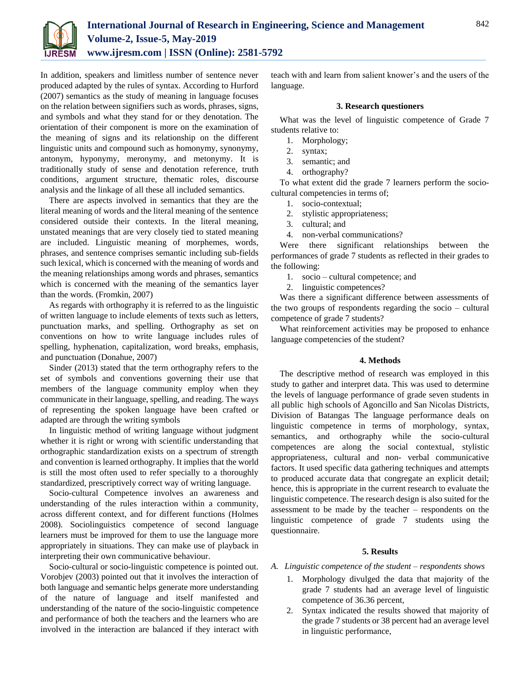

In addition, speakers and limitless number of sentence never produced adapted by the rules of syntax. According to Hurford (2007) semantics as the study of meaning in language focuses on the relation between signifiers such as words, phrases, signs, and symbols and what they stand for or they denotation. The orientation of their component is more on the examination of the meaning of signs and its relationship on the different linguistic units and compound such as homonymy, synonymy, antonym, hyponymy, meronymy, and metonymy. It is traditionally study of sense and denotation reference, truth conditions, argument structure, thematic roles, discourse analysis and the linkage of all these all included semantics.

There are aspects involved in semantics that they are the literal meaning of words and the literal meaning of the sentence considered outside their contexts. In the literal meaning, unstated meanings that are very closely tied to stated meaning are included. Linguistic meaning of morphemes, words, phrases, and sentence comprises semantic including sub-fields such lexical, which is concerned with the meaning of words and the meaning relationships among words and phrases, semantics which is concerned with the meaning of the semantics layer than the words. (Fromkin, 2007)

As regards with orthography it is referred to as the linguistic of written language to include elements of texts such as letters, punctuation marks, and spelling. Orthography as set on conventions on how to write language includes rules of spelling, hyphenation, capitalization, word breaks, emphasis, and punctuation (Donahue, 2007)

Sinder (2013) stated that the term orthography refers to the set of symbols and conventions governing their use that members of the language community employ when they communicate in their language, spelling, and reading. The ways of representing the spoken language have been crafted or adapted are through the writing symbols

In linguistic method of writing language without judgment whether it is right or wrong with scientific understanding that orthographic standardization exists on a spectrum of strength and convention is learned orthography. It implies that the world is still the most often used to refer specially to a thoroughly standardized, prescriptively correct way of writing language.

Socio-cultural Competence involves an awareness and understanding of the rules interaction within a community, across different context, and for different functions (Holmes 2008). Sociolinguistics competence of second language learners must be improved for them to use the language more appropriately in situations. They can make use of playback in interpreting their own communicative behaviour.

Socio-cultural or socio-linguistic competence is pointed out. Vorobjev (2003) pointed out that it involves the interaction of both language and semantic helps generate more understanding of the nature of language and itself manifested and understanding of the nature of the socio-linguistic competence and performance of both the teachers and the learners who are involved in the interaction are balanced if they interact with teach with and learn from salient knower's and the users of the language.

## **3. Research questioners**

What was the level of linguistic competence of Grade 7 students relative to:

- 1. Morphology;
- 2. syntax;
- 3. semantic; and
- 4. orthography?

To what extent did the grade 7 learners perform the sociocultural competencies in terms of;

- 1. socio-contextual;
- 2. stylistic appropriateness;
- 3. cultural; and
- 4. non-verbal communications?

Were there significant relationships between the performances of grade 7 students as reflected in their grades to the following:

- 1. socio cultural competence; and
- 2. linguistic competences?

Was there a significant difference between assessments of the two groups of respondents regarding the socio – cultural competence of grade 7 students?

What reinforcement activities may be proposed to enhance language competencies of the student?

# **4. Methods**

The descriptive method of research was employed in this study to gather and interpret data. This was used to determine the levels of language performance of grade seven students in all public high schools of Agoncillo and San Nicolas Districts, Division of Batangas The language performance deals on linguistic competence in terms of morphology, syntax, semantics, and orthography while the socio-cultural competences are along the social contextual, stylistic appropriateness, cultural and non- verbal communicative factors. It used specific data gathering techniques and attempts to produced accurate data that congregate an explicit detail; hence, this is appropriate in the current research to evaluate the linguistic competence. The research design is also suited for the assessment to be made by the teacher – respondents on the linguistic competence of grade 7 students using the questionnaire.

# **5. Results**

- *A. Linguistic competence of the student – respondents shows* 
	- 1. Morphology divulged the data that majority of the grade 7 students had an average level of linguistic competence of 36.36 percent,
	- 2. Syntax indicated the results showed that majority of the grade 7 students or 38 percent had an average level in linguistic performance,